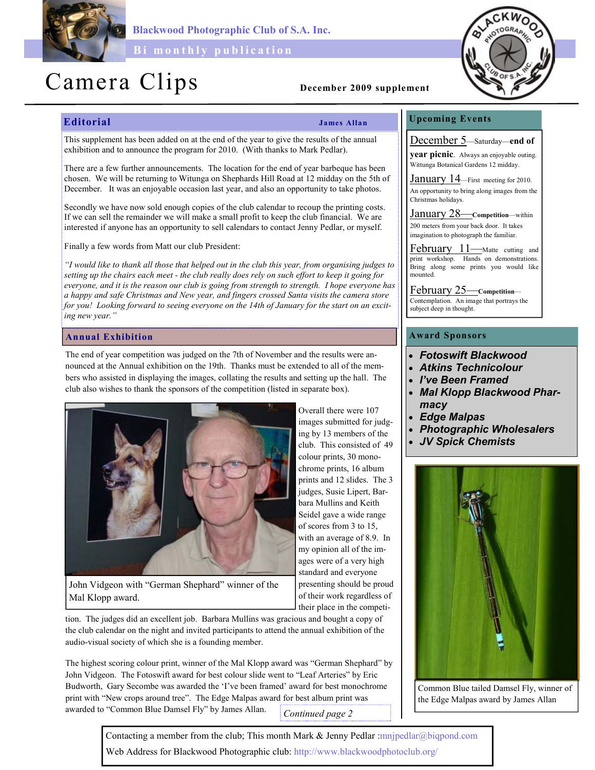

Blackwood Photographic Club of S.A. Inc.

Bi monthly publication

## Camera Clips December 2009 supplement

### Editorial James Allan

Overall there were 107 images submitted for judging by 13 members of the club. This consisted of 49 colour prints, 30 monochrome prints, 16 album prints and 12 slides. The 3 judges, Susie Lipert, Barbara Mullins and Keith Seidel gave a wide range of scores from 3 to 15, with an average of 8.9. In my opinion all of the images were of a very high standard and everyone presenting should be proud of their work regardless of their place in the competi-

#### Upcoming Events

This supplement has been added on at the end of the year to give the results of the annual exhibition and to announce the program for 2010. (With thanks to Mark Pedlar).

There are a few further announcements. The location for the end of year barbeque has been chosen. We will be returning to Witunga on Shephards Hill Road at 12 midday on the 5th of December. It was an enjoyable occasion last year, and also an opportunity to take photos.

Secondly we have now sold enough copies of the club calendar to recoup the printing costs. If we can sell the remainder we will make a small profit to keep the club financial. We are interested if anyone has an opportunity to sell calendars to contact Jenny Pedlar, or myself.

Finally a few words from Matt our club President:

"I would like to thank all those that helped out in the club this year, from organising judges to setting up the chairs each meet - the club really does rely on such effort to keep it going for everyone, and it is the reason our club is going from strength to strength. I hope everyone has a happy and safe Christmas and New year, and fingers crossed Santa visits the camera store for you! Looking forward to seeing everyone on the 14th of January for the start on an exciting new year."

#### Annual Exhibition

The end of year competition was judged on the 7th of November and the results were announced at the Annual exhibition on the 19th. Thanks must be extended to all of the members who assisted in displaying the images, collating the results and setting up the hall. The club also wishes to thank the sponsors of the competition (listed in separate box).



John Vidgeon with "German Shephard" winner of the Mal Klopp award.

tion. The judges did an excellent job. Barbara Mullins was gracious and bought a copy of the club calendar on the night and invited participants to attend the annual exhibition of the audio-visual society of which she is a founding member.

The highest scoring colour print, winner of the Mal Klopp award was "German Shephard" by John Vidgeon. The Fotoswift award for best colour slide went to "Leaf Arteries" by Eric Budworth, Gary Secombe was awarded the 'I've been framed' award for best monochrome print with "New crops around tree". The Edge Malpas award for best album print was awarded to "Common Blue Damsel Fly" by James Allan. Continued page 2

December 5—Saturday—end of

year picnic. Always an enjoyable outing. Wittunga Botanical Gardens 12 midday.

January 14—First meeting for 2010. An opportunity to bring along images from the Christmas holidays.

January 28—Competition—within

200 meters from your back door. It takes imagination to photograph the familiar.

February 11—Matte cutting and print workshop. Hands on demonstrations. Bring along some prints you would like mounted.

February 25—Competition—

Contemplation. An image that portrays the subject deep in thought.

#### Award Sponsors

- Fotoswift Blackwood
- Atkins Technicolour
- I've Been Framed
- Mal Klopp Blackwood Pharmacy
- **Edge Malpas**
- Photographic Wholesalers
- JV Spick Chemists



Common Blue tailed Damsel Fly, winner of the Edge Malpas award by James Allan

Contacting a member from the club; This month Mark & Jenny Pedlar :mnjpedlar@biqpond.com Web Address for Blackwood Photographic club: http://www.blackwoodphotoclub.org/



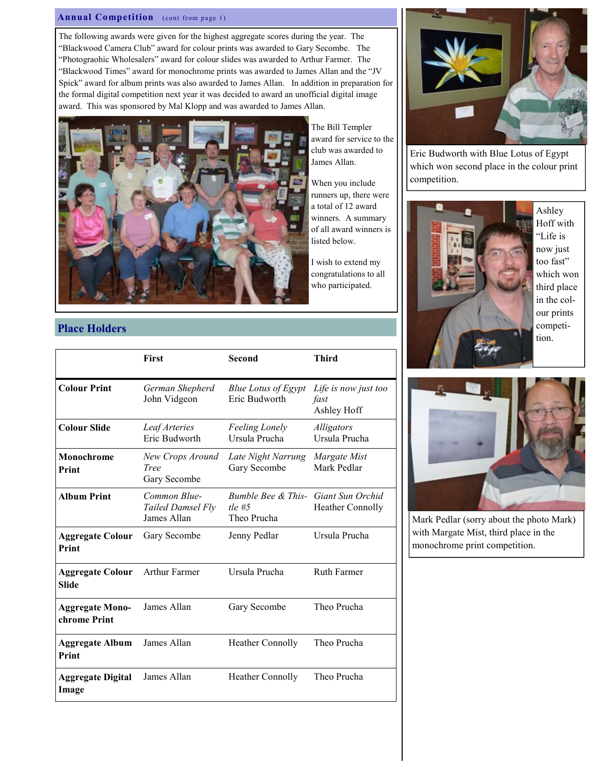#### Annual Competition (cont from page 1)

The following awards were given for the highest aggregate scores during the year. The "Blackwood Camera Club" award for colour prints was awarded to Gary Secombe. The "Photograohic Wholesalers" award for colour slides was awarded to Arthur Farmer. The "Blackwood Times" award for monochrome prints was awarded to James Allan and the "JV Spick" award for album prints was also awarded to James Allan. In addition in preparation for the formal digital competition next year it was decided to award an unofficial digital image award. This was sponsored by Mal Klopp and was awarded to James Allan.



The Bill Templer award for service to the club was awarded to James Allan.

When you include runners up, there were a total of 12 award winners. A summary of all award winners is listed below.

I wish to extend my congratulations to all who participated.

# Eric Budworth with Blue Lotus of Egypt which won second place in the colour print competition.



Ashley Hoff with "Life is now just too fast" which won third place in the colour prints competition.



|                                         | <b>First</b>                                     | <b>Second</b>                                 | <b>Third</b>                                |
|-----------------------------------------|--------------------------------------------------|-----------------------------------------------|---------------------------------------------|
| <b>Colour Print</b>                     | German Shepherd<br>John Vidgeon                  | <b>Blue Lotus of Egypt</b><br>Eric Budworth   | Life is now just too<br>fast<br>Ashley Hoff |
| <b>Colour Slide</b>                     | Leaf Arteries<br>Eric Budworth                   | <b>Feeling Lonely</b><br>Ursula Prucha        | Alligators<br>Ursula Prucha                 |
| Monochrome<br>Print                     | New Crops Around<br>Tree<br>Gary Secombe         | Late Night Narrung<br>Gary Secombe            | Margate Mist<br>Mark Pedlar                 |
| <b>Album Print</b>                      | Common Blue-<br>Tailed Damsel Fly<br>James Allan | Bumble Bee & This-<br>tle $#5$<br>Theo Prucha | Giant Sun Orchid<br><b>Heather Connolly</b> |
| <b>Aggregate Colour</b><br>Print        | Gary Secombe                                     | Jenny Pedlar                                  | Ursula Prucha                               |
| <b>Aggregate Colour</b><br><b>Slide</b> | Arthur Farmer                                    | Ursula Prucha                                 | <b>Ruth Farmer</b>                          |
| <b>Aggregate Mono-</b><br>chrome Print  | James Allan                                      | Gary Secombe                                  | Theo Prucha                                 |
| <b>Aggregate Album</b><br>Print         | James Allan                                      | <b>Heather Connolly</b>                       | Theo Prucha                                 |
| <b>Aggregate Digital</b><br>Image       | James Allan                                      | <b>Heather Connolly</b>                       | Theo Prucha                                 |



Mark Pedlar (sorry about the photo Mark) with Margate Mist, third place in the monochrome print competition.